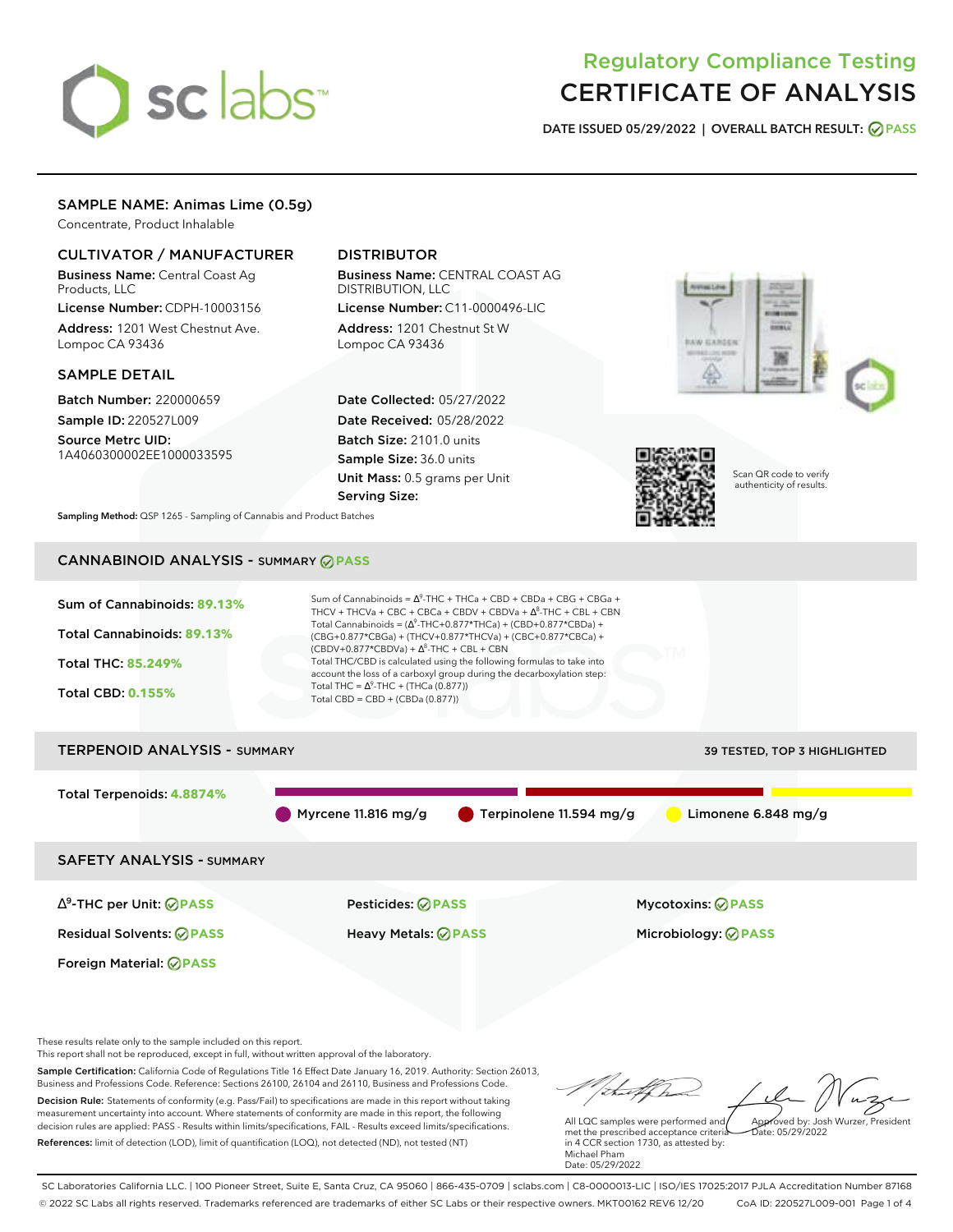# sclabs<sup>\*</sup>

## Regulatory Compliance Testing CERTIFICATE OF ANALYSIS

**DATE ISSUED 05/29/2022 | OVERALL BATCH RESULT: PASS**

## SAMPLE NAME: Animas Lime (0.5g)

Concentrate, Product Inhalable

## CULTIVATOR / MANUFACTURER

Business Name: Central Coast Ag Products, LLC

License Number: CDPH-10003156 Address: 1201 West Chestnut Ave. Lompoc CA 93436

#### SAMPLE DETAIL

Batch Number: 220000659 Sample ID: 220527L009

Source Metrc UID: 1A4060300002EE1000033595

## DISTRIBUTOR

Business Name: CENTRAL COAST AG DISTRIBUTION, LLC License Number: C11-0000496-LIC

Address: 1201 Chestnut St W Lompoc CA 93436

Date Collected: 05/27/2022 Date Received: 05/28/2022 Batch Size: 2101.0 units Sample Size: 36.0 units Unit Mass: 0.5 grams per Unit Serving Size:





Scan QR code to verify authenticity of results.

**Sampling Method:** QSP 1265 - Sampling of Cannabis and Product Batches

## CANNABINOID ANALYSIS - SUMMARY **PASS**



SAFETY ANALYSIS - SUMMARY

∆ 9 -THC per Unit: **PASS** Pesticides: **PASS** Mycotoxins: **PASS**

Foreign Material: **PASS**

Residual Solvents: **PASS** Heavy Metals: **PASS** Microbiology: **PASS**

These results relate only to the sample included on this report.

This report shall not be reproduced, except in full, without written approval of the laboratory.

Sample Certification: California Code of Regulations Title 16 Effect Date January 16, 2019. Authority: Section 26013, Business and Professions Code. Reference: Sections 26100, 26104 and 26110, Business and Professions Code. Decision Rule: Statements of conformity (e.g. Pass/Fail) to specifications are made in this report without taking measurement uncertainty into account. Where statements of conformity are made in this report, the following decision rules are applied: PASS - Results within limits/specifications, FAIL - Results exceed limits/specifications.

References: limit of detection (LOD), limit of quantification (LOQ), not detected (ND), not tested (NT)

Approved by: Josh Wurzer, President

 $hat: 05/29/2022$ 

All LQC samples were performed and met the prescribed acceptance criteria in 4 CCR section 1730, as attested by: Michael Pham Date: 05/29/2022

SC Laboratories California LLC. | 100 Pioneer Street, Suite E, Santa Cruz, CA 95060 | 866-435-0709 | sclabs.com | C8-0000013-LIC | ISO/IES 17025:2017 PJLA Accreditation Number 87168 © 2022 SC Labs all rights reserved. Trademarks referenced are trademarks of either SC Labs or their respective owners. MKT00162 REV6 12/20 CoA ID: 220527L009-001 Page 1 of 4